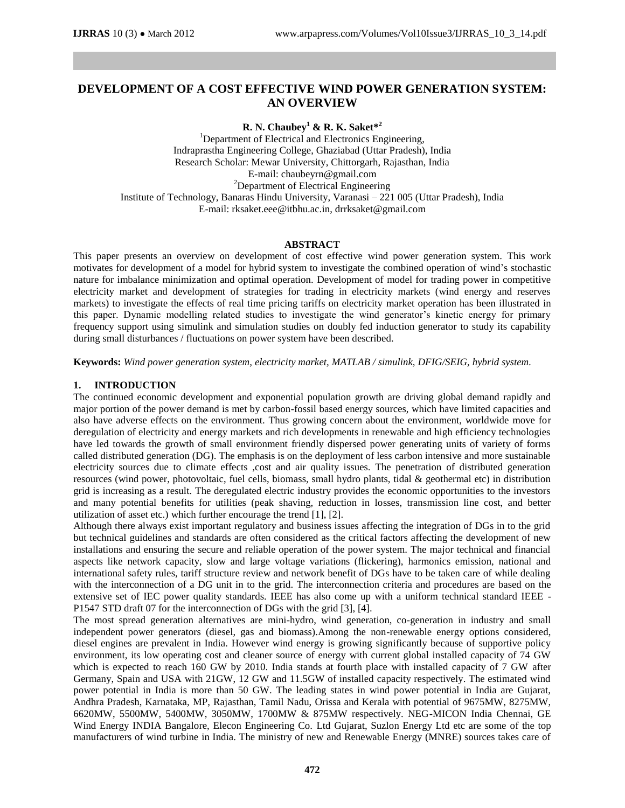# **DEVELOPMENT OF A COST EFFECTIVE WIND POWER GENERATION SYSTEM: AN OVERVIEW**

**R. N. Chaubey<sup>1</sup> & R. K. Saket\* 2**

<sup>1</sup>Department of Electrical and Electronics Engineering, Indraprastha Engineering College, Ghaziabad (Uttar Pradesh), India Research Scholar: Mewar University, Chittorgarh, Rajasthan, India E-mail[: chaubeyrn@gmail.com](mailto:chaubeyrn@gmail.com) <sup>2</sup>Department of Electrical Engineering Institute of Technology, Banaras Hindu University, Varanasi – 221 005 (Uttar Pradesh), India E-mail: [rksaket.eee@itbhu.ac.in,](mailto:rksaket.eee@itbhu.ac.in) [drrksaket@gmail.com](mailto:drrksaket@gmail.com)

### **ABSTRACT**

This paper presents an overview on development of cost effective wind power generation system. This work motivates for development of a model for hybrid system to investigate the combined operation of wind's stochastic nature for imbalance minimization and optimal operation. Development of model for trading power in competitive electricity market and development of strategies for trading in electricity markets (wind energy and reserves markets) to investigate the effects of real time pricing tariffs on electricity market operation has been illustrated in this paper. Dynamic modelling related studies to investigate the wind generator's kinetic energy for primary frequency support using simulink and simulation studies on doubly fed induction generator to study its capability during small disturbances / fluctuations on power system have been described.

**Keywords:** *Wind power generation system, electricity market, MATLAB / simulink, DFIG/SEIG, hybrid system.*

### **1. INTRODUCTION**

The continued economic development and exponential population growth are driving global demand rapidly and major portion of the power demand is met by carbon-fossil based energy sources, which have limited capacities and also have adverse effects on the environment. Thus growing concern about the environment, worldwide move for deregulation of electricity and energy markets and rich developments in renewable and high efficiency technologies have led towards the growth of small environment friendly dispersed power generating units of variety of forms called distributed generation (DG). The emphasis is on the deployment of less carbon intensive and more sustainable electricity sources due to climate effects ,cost and air quality issues. The penetration of distributed generation resources (wind power, photovoltaic, fuel cells, biomass, small hydro plants, tidal & geothermal etc) in distribution grid is increasing as a result. The deregulated electric industry provides the economic opportunities to the investors and many potential benefits for utilities (peak shaving, reduction in losses, transmission line cost, and better utilization of asset etc.) which further encourage the trend [1], [2].

Although there always exist important regulatory and business issues affecting the integration of DGs in to the grid but technical guidelines and standards are often considered as the critical factors affecting the development of new installations and ensuring the secure and reliable operation of the power system. The major technical and financial aspects like network capacity, slow and large voltage variations (flickering), harmonics emission, national and international safety rules, tariff structure review and network benefit of DGs have to be taken care of while dealing with the interconnection of a DG unit in to the grid. The interconnection criteria and procedures are based on the extensive set of IEC power quality standards. IEEE has also come up with a uniform technical standard IEEE - P1547 STD draft 07 for the interconnection of DGs with the grid [3], [4].

The most spread generation alternatives are mini-hydro, wind generation, co-generation in industry and small independent power generators (diesel, gas and biomass).Among the non-renewable energy options considered, diesel engines are prevalent in India. However wind energy is growing significantly because of supportive policy environment, its low operating cost and cleaner source of energy with current global installed capacity of 74 GW which is expected to reach 160 GW by 2010. India stands at fourth place with installed capacity of 7 GW after Germany, Spain and USA with 21GW, 12 GW and 11.5GW of installed capacity respectively. The estimated wind power potential in India is more than 50 GW. The leading states in wind power potential in India are Gujarat, Andhra Pradesh, Karnataka, MP, Rajasthan, Tamil Nadu, Orissa and Kerala with potential of 9675MW, 8275MW, 6620MW, 5500MW, 5400MW, 3050MW, 1700MW & 875MW respectively. NEG-MICON India Chennai, GE Wind Energy INDIA Bangalore, Elecon Engineering Co. Ltd Gujarat, Suzlon Energy Ltd etc are some of the top manufacturers of wind turbine in India. The ministry of new and Renewable Energy (MNRE) sources takes care of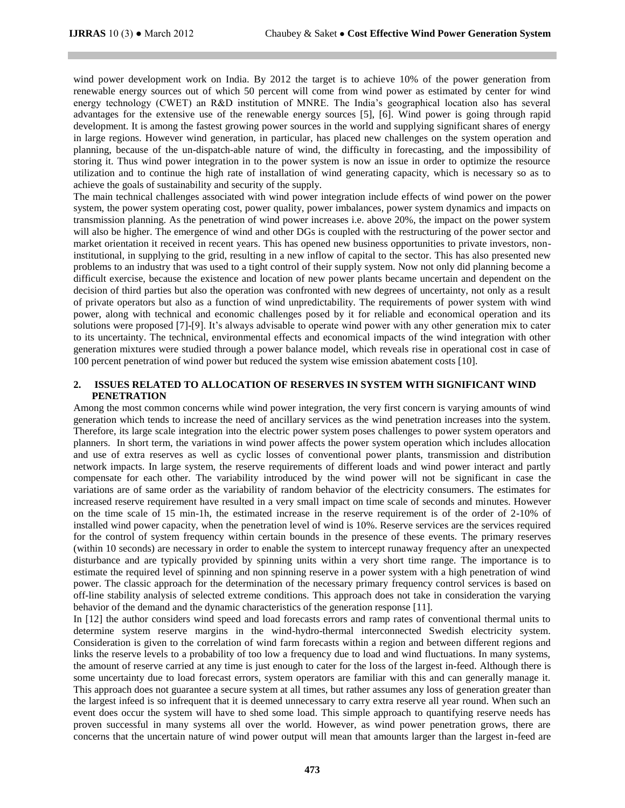wind power development work on India. By 2012 the target is to achieve 10% of the power generation from renewable energy sources out of which 50 percent will come from wind power as estimated by center for wind energy technology (CWET) an R&D institution of MNRE. The India's geographical location also has several advantages for the extensive use of the renewable energy sources [5], [6]. Wind power is going through rapid development. It is among the fastest growing power sources in the world and supplying significant shares of energy in large regions. However wind generation, in particular, has placed new challenges on the system operation and planning, because of the un-dispatch-able nature of wind, the difficulty in forecasting, and the impossibility of storing it. Thus wind power integration in to the power system is now an issue in order to optimize the resource utilization and to continue the high rate of installation of wind generating capacity, which is necessary so as to achieve the goals of sustainability and security of the supply.

The main technical challenges associated with wind power integration include effects of wind power on the power system, the power system operating cost, power quality, power imbalances, power system dynamics and impacts on transmission planning. As the penetration of wind power increases i.e. above 20%, the impact on the power system will also be higher. The emergence of wind and other DGs is coupled with the restructuring of the power sector and market orientation it received in recent years. This has opened new business opportunities to private investors, noninstitutional, in supplying to the grid, resulting in a new inflow of capital to the sector. This has also presented new problems to an industry that was used to a tight control of their supply system. Now not only did planning become a difficult exercise, because the existence and location of new power plants became uncertain and dependent on the decision of third parties but also the operation was confronted with new degrees of uncertainty, not only as a result of private operators but also as a function of wind unpredictability. The requirements of power system with wind power, along with technical and economic challenges posed by it for reliable and economical operation and its solutions were proposed [7]-[9]. It's always advisable to operate wind power with any other generation mix to cater to its uncertainty. The technical, environmental effects and economical impacts of the wind integration with other generation mixtures were studied through a power balance model, which reveals rise in operational cost in case of 100 percent penetration of wind power but reduced the system wise emission abatement costs [10].

### **2. ISSUES RELATED TO ALLOCATION OF RESERVES IN SYSTEM WITH SIGNIFICANT WIND PENETRATION**

Among the most common concerns while wind power integration, the very first concern is varying amounts of wind generation which tends to increase the need of ancillary services as the wind penetration increases into the system. Therefore, its large scale integration into the electric power system poses challenges to power system operators and planners. In short term, the variations in wind power affects the power system operation which includes allocation and use of extra reserves as well as cyclic losses of conventional power plants, transmission and distribution network impacts. In large system, the reserve requirements of different loads and wind power interact and partly compensate for each other. The variability introduced by the wind power will not be significant in case the variations are of same order as the variability of random behavior of the electricity consumers. The estimates for increased reserve requirement have resulted in a very small impact on time scale of seconds and minutes. However on the time scale of 15 min-1h, the estimated increase in the reserve requirement is of the order of 2-10% of installed wind power capacity, when the penetration level of wind is 10%. Reserve services are the services required for the control of system frequency within certain bounds in the presence of these events. The primary reserves (within 10 seconds) are necessary in order to enable the system to intercept runaway frequency after an unexpected disturbance and are typically provided by spinning units within a very short time range. The importance is to estimate the required level of spinning and non spinning reserve in a power system with a high penetration of wind power. The classic approach for the determination of the necessary primary frequency control services is based on off-line stability analysis of selected extreme conditions. This approach does not take in consideration the varying behavior of the demand and the dynamic characteristics of the generation response [11].

In [12] the author considers wind speed and load forecasts errors and ramp rates of conventional thermal units to determine system reserve margins in the wind-hydro-thermal interconnected Swedish electricity system. Consideration is given to the correlation of wind farm forecasts within a region and between different regions and links the reserve levels to a probability of too low a frequency due to load and wind fluctuations. In many systems, the amount of reserve carried at any time is just enough to cater for the loss of the largest in-feed. Although there is some uncertainty due to load forecast errors, system operators are familiar with this and can generally manage it. This approach does not guarantee a secure system at all times, but rather assumes any loss of generation greater than the largest infeed is so infrequent that it is deemed unnecessary to carry extra reserve all year round. When such an event does occur the system will have to shed some load. This simple approach to quantifying reserve needs has proven successful in many systems all over the world. However, as wind power penetration grows, there are concerns that the uncertain nature of wind power output will mean that amounts larger than the largest in-feed are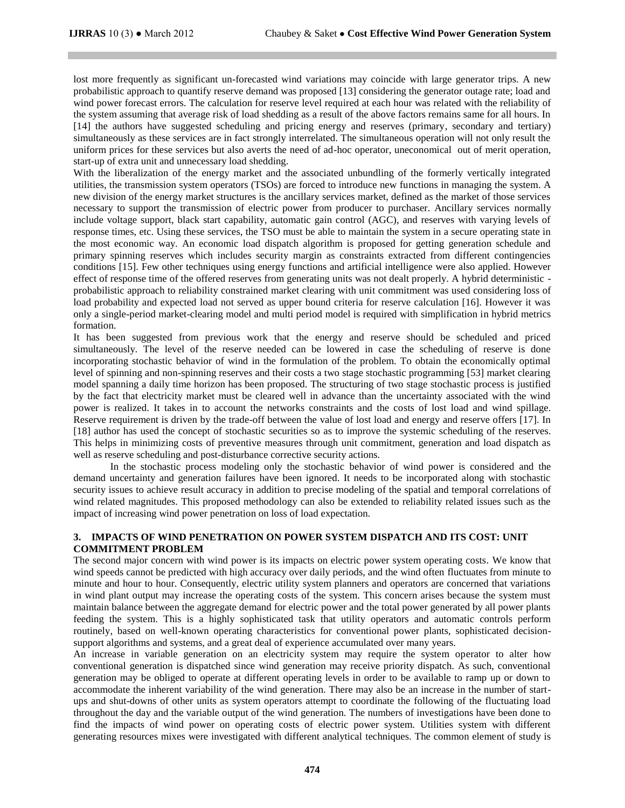lost more frequently as significant un-forecasted wind variations may coincide with large generator trips. A new probabilistic approach to quantify reserve demand was proposed [13] considering the generator outage rate; load and wind power forecast errors. The calculation for reserve level required at each hour was related with the reliability of the system assuming that average risk of load shedding as a result of the above factors remains same for all hours. In [14] the authors have suggested scheduling and pricing energy and reserves (primary, secondary and tertiary) simultaneously as these services are in fact strongly interrelated. The simultaneous operation will not only result the uniform prices for these services but also averts the need of ad-hoc operator, uneconomical out of merit operation, start-up of extra unit and unnecessary load shedding.

With the liberalization of the energy market and the associated unbundling of the formerly vertically integrated utilities, the transmission system operators (TSOs) are forced to introduce new functions in managing the system. A new division of the energy market structures is the ancillary services market, defined as the market of those services necessary to support the transmission of electric power from producer to purchaser. Ancillary services normally include voltage support, black start capability, automatic gain control (AGC), and reserves with varying levels of response times, etc. Using these services, the TSO must be able to maintain the system in a secure operating state in the most economic way. An economic load dispatch algorithm is proposed for getting generation schedule and primary spinning reserves which includes security margin as constraints extracted from different contingencies conditions [15]. Few other techniques using energy functions and artificial intelligence were also applied. However effect of response time of the offered reserves from generating units was not dealt properly. A hybrid deterministic probabilistic approach to reliability constrained market clearing with unit commitment was used considering loss of load probability and expected load not served as upper bound criteria for reserve calculation [16]. However it was only a single-period market-clearing model and multi period model is required with simplification in hybrid metrics formation.

It has been suggested from previous work that the energy and reserve should be scheduled and priced simultaneously. The level of the reserve needed can be lowered in case the scheduling of reserve is done incorporating stochastic behavior of wind in the formulation of the problem. To obtain the economically optimal level of spinning and non-spinning reserves and their costs a two stage stochastic programming [53] market clearing model spanning a daily time horizon has been proposed. The structuring of two stage stochastic process is justified by the fact that electricity market must be cleared well in advance than the uncertainty associated with the wind power is realized. It takes in to account the networks constraints and the costs of lost load and wind spillage. Reserve requirement is driven by the trade-off between the value of lost load and energy and reserve offers [17]. In [18] author has used the concept of stochastic securities so as to improve the systemic scheduling of the reserves. This helps in minimizing costs of preventive measures through unit commitment, generation and load dispatch as well as reserve scheduling and post-disturbance corrective security actions.

In the stochastic process modeling only the stochastic behavior of wind power is considered and the demand uncertainty and generation failures have been ignored. It needs to be incorporated along with stochastic security issues to achieve result accuracy in addition to precise modeling of the spatial and temporal correlations of wind related magnitudes. This proposed methodology can also be extended to reliability related issues such as the impact of increasing wind power penetration on loss of load expectation.

# **3. IMPACTS OF WIND PENETRATION ON POWER SYSTEM DISPATCH AND ITS COST: UNIT COMMITMENT PROBLEM**

The second major concern with wind power is its impacts on electric power system operating costs*.* We know that wind speeds cannot be predicted with high accuracy over daily periods, and the wind often fluctuates from minute to minute and hour to hour. Consequently, electric utility system planners and operators are concerned that variations in wind plant output may increase the operating costs of the system. This concern arises because the system must maintain balance between the aggregate demand for electric power and the total power generated by all power plants feeding the system. This is a highly sophisticated task that utility operators and automatic controls perform routinely, based on well-known operating characteristics for conventional power plants, sophisticated decisionsupport algorithms and systems, and a great deal of experience accumulated over many years.

An increase in variable generation on an electricity system may require the system operator to alter how conventional generation is dispatched since wind generation may receive priority dispatch. As such, conventional generation may be obliged to operate at different operating levels in order to be available to ramp up or down to accommodate the inherent variability of the wind generation. There may also be an increase in the number of startups and shut-downs of other units as system operators attempt to coordinate the following of the fluctuating load throughout the day and the variable output of the wind generation. The numbers of investigations have been done to find the impacts of wind power on operating costs of electric power system. Utilities system with different generating resources mixes were investigated with different analytical techniques. The common element of study is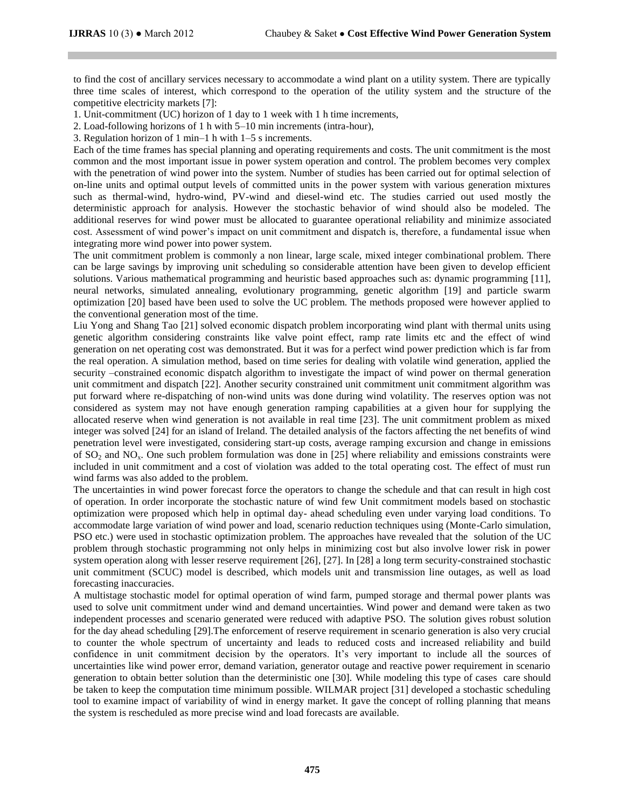to find the cost of ancillary services necessary to accommodate a wind plant on a utility system. There are typically three time scales of interest, which correspond to the operation of the utility system and the structure of the competitive electricity markets [7]:

1. Unit-commitment (UC) horizon of 1 day to 1 week with 1 h time increments,

2. Load-following horizons of 1 h with 5–10 min increments (intra-hour),

3. Regulation horizon of 1 min–1 h with 1–5 s increments.

Each of the time frames has special planning and operating requirements and costs. The unit commitment is the most common and the most important issue in power system operation and control. The problem becomes very complex with the penetration of wind power into the system. Number of studies has been carried out for optimal selection of on-line units and optimal output levels of committed units in the power system with various generation mixtures such as thermal-wind, hydro-wind, PV-wind and diesel-wind etc. The studies carried out used mostly the deterministic approach for analysis. However the stochastic behavior of wind should also be modeled. The additional reserves for wind power must be allocated to guarantee operational reliability and minimize associated cost. Assessment of wind power's impact on unit commitment and dispatch is, therefore, a fundamental issue when integrating more wind power into power system.

The unit commitment problem is commonly a non linear, large scale, mixed integer combinational problem. There can be large savings by improving unit scheduling so considerable attention have been given to develop efficient solutions. Various mathematical programming and heuristic based approaches such as: dynamic programming [11], neural networks, simulated annealing, evolutionary programming, genetic algorithm [19] and particle swarm optimization [20] based have been used to solve the UC problem. The methods proposed were however applied to the conventional generation most of the time.

Liu Yong and Shang Tao [21] solved economic dispatch problem incorporating wind plant with thermal units using genetic algorithm considering constraints like valve point effect, ramp rate limits etc and the effect of wind generation on net operating cost was demonstrated. But it was for a perfect wind power prediction which is far from the real operation. A simulation method, based on time series for dealing with volatile wind generation, applied the security –constrained economic dispatch algorithm to investigate the impact of wind power on thermal generation unit commitment and dispatch [22]. Another security constrained unit commitment unit commitment algorithm was put forward where re-dispatching of non-wind units was done during wind volatility. The reserves option was not considered as system may not have enough generation ramping capabilities at a given hour for supplying the allocated reserve when wind generation is not available in real time [23]. The unit commitment problem as mixed integer was solved [24] for an island of Ireland. The detailed analysis of the factors affecting the net benefits of wind penetration level were investigated, considering start-up costs, average ramping excursion and change in emissions of  $SO_2$  and  $NO_x$ . One such problem formulation was done in [25] where reliability and emissions constraints were included in unit commitment and a cost of violation was added to the total operating cost. The effect of must run wind farms was also added to the problem.

The uncertainties in wind power forecast force the operators to change the schedule and that can result in high cost of operation. In order incorporate the stochastic nature of wind few Unit commitment models based on stochastic optimization were proposed which help in optimal day- ahead scheduling even under varying load conditions. To accommodate large variation of wind power and load, scenario reduction techniques using (Monte-Carlo simulation, PSO etc.) were used in stochastic optimization problem. The approaches have revealed that the solution of the UC problem through stochastic programming not only helps in minimizing cost but also involve lower risk in power system operation along with lesser reserve requirement [26], [27]. In [28] a long term security-constrained stochastic unit commitment (SCUC) model is described, which models unit and transmission line outages, as well as load forecasting inaccuracies.

A multistage stochastic model for optimal operation of wind farm, pumped storage and thermal power plants was used to solve unit commitment under wind and demand uncertainties. Wind power and demand were taken as two independent processes and scenario generated were reduced with adaptive PSO. The solution gives robust solution for the day ahead scheduling [29].The enforcement of reserve requirement in scenario generation is also very crucial to counter the whole spectrum of uncertainty and leads to reduced costs and increased reliability and build confidence in unit commitment decision by the operators. It's very important to include all the sources of uncertainties like wind power error, demand variation, generator outage and reactive power requirement in scenario generation to obtain better solution than the deterministic one [30]. While modeling this type of cases care should be taken to keep the computation time minimum possible. WILMAR project [31] developed a stochastic scheduling tool to examine impact of variability of wind in energy market. It gave the concept of rolling planning that means the system is rescheduled as more precise wind and load forecasts are available.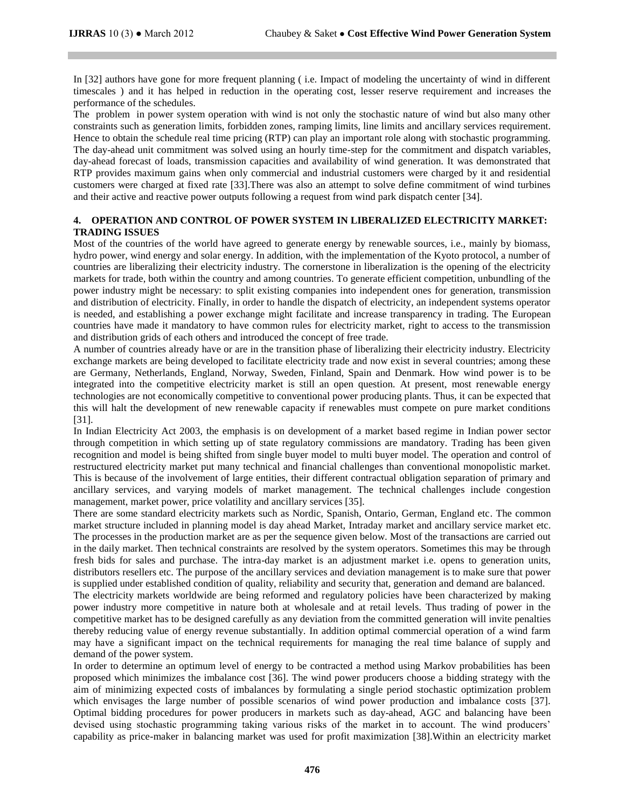In [32] authors have gone for more frequent planning ( i.e. Impact of modeling the uncertainty of wind in different timescales ) and it has helped in reduction in the operating cost, lesser reserve requirement and increases the performance of the schedules.

The problem in power system operation with wind is not only the stochastic nature of wind but also many other constraints such as generation limits, forbidden zones, ramping limits, line limits and ancillary services requirement. Hence to obtain the schedule real time pricing (RTP) can play an important role along with stochastic programming. The day-ahead unit commitment was solved using an hourly time-step for the commitment and dispatch variables, day-ahead forecast of loads, transmission capacities and availability of wind generation. It was demonstrated that RTP provides maximum gains when only commercial and industrial customers were charged by it and residential customers were charged at fixed rate [33].There was also an attempt to solve define commitment of wind turbines and their active and reactive power outputs following a request from wind park dispatch center [34].

# **4. OPERATION AND CONTROL OF POWER SYSTEM IN LIBERALIZED ELECTRICITY MARKET: TRADING ISSUES**

Most of the countries of the world have agreed to generate energy by renewable sources, i.e., mainly by biomass, hydro power, wind energy and solar energy. In addition, with the implementation of the Kyoto protocol, a number of countries are liberalizing their electricity industry. The cornerstone in liberalization is the opening of the electricity markets for trade, both within the country and among countries. To generate efficient competition, unbundling of the power industry might be necessary: to split existing companies into independent ones for generation, transmission and distribution of electricity. Finally, in order to handle the dispatch of electricity, an independent systems operator is needed, and establishing a power exchange might facilitate and increase transparency in trading. The European countries have made it mandatory to have common rules for electricity market, right to access to the transmission and distribution grids of each others and introduced the concept of free trade.

A number of countries already have or are in the transition phase of liberalizing their electricity industry. Electricity exchange markets are being developed to facilitate electricity trade and now exist in several countries; among these are Germany, Netherlands, England, Norway, Sweden, Finland, Spain and Denmark. How wind power is to be integrated into the competitive electricity market is still an open question. At present, most renewable energy technologies are not economically competitive to conventional power producing plants. Thus, it can be expected that this will halt the development of new renewable capacity if renewables must compete on pure market conditions [31].

In Indian Electricity Act 2003, the emphasis is on development of a market based regime in Indian power sector through competition in which setting up of state regulatory commissions are mandatory. Trading has been given recognition and model is being shifted from single buyer model to multi buyer model. The operation and control of restructured electricity market put many technical and financial challenges than conventional monopolistic market. This is because of the involvement of large entities, their different contractual obligation separation of primary and ancillary services, and varying models of market management. The technical challenges include congestion management, market power, price volatility and ancillary services [35].

There are some standard electricity markets such as Nordic, Spanish, Ontario, German, England etc. The common market structure included in planning model is day ahead Market, Intraday market and ancillary service market etc. The processes in the production market are as per the sequence given below. Most of the transactions are carried out in the daily market. Then technical constraints are resolved by the system operators. Sometimes this may be through fresh bids for sales and purchase. The intra-day market is an adjustment market i.e. opens to generation units, distributors resellers etc. The purpose of the ancillary services and deviation management is to make sure that power is supplied under established condition of quality, reliability and security that, generation and demand are balanced.

The electricity markets worldwide are being reformed and regulatory policies have been characterized by making power industry more competitive in nature both at wholesale and at retail levels. Thus trading of power in the competitive market has to be designed carefully as any deviation from the committed generation will invite penalties thereby reducing value of energy revenue substantially. In addition optimal commercial operation of a wind farm may have a significant impact on the technical requirements for managing the real time balance of supply and demand of the power system.

In order to determine an optimum level of energy to be contracted a method using Markov probabilities has been proposed which minimizes the imbalance cost [36]. The wind power producers choose a bidding strategy with the aim of minimizing expected costs of imbalances by formulating a single period stochastic optimization problem which envisages the large number of possible scenarios of wind power production and imbalance costs [37]. Optimal bidding procedures for power producers in markets such as day-ahead, AGC and balancing have been devised using stochastic programming taking various risks of the market in to account. The wind producers' capability as price-maker in balancing market was used for profit maximization [38].Within an electricity market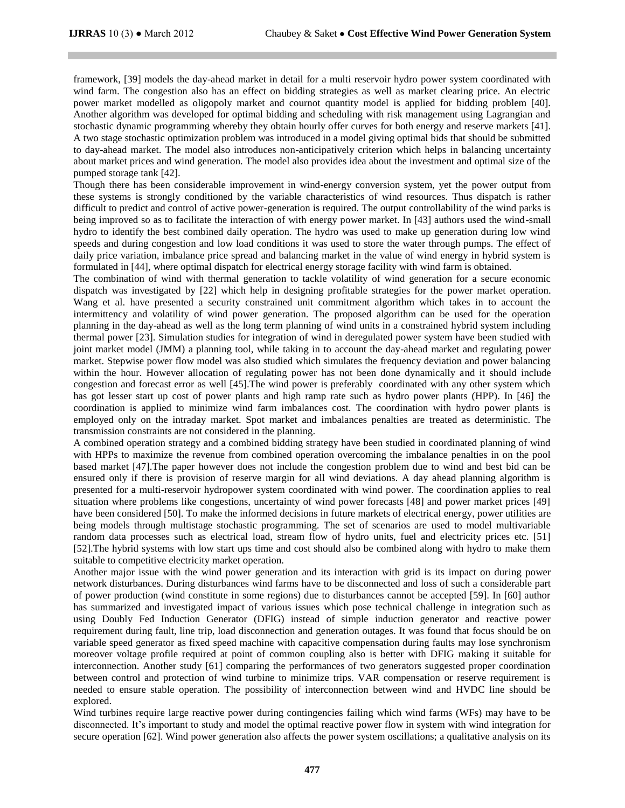framework, [39] models the day-ahead market in detail for a multi reservoir hydro power system coordinated with wind farm. The congestion also has an effect on bidding strategies as well as market clearing price. An electric power market modelled as oligopoly market and cournot quantity model is applied for bidding problem [40]. Another algorithm was developed for optimal bidding and scheduling with risk management using Lagrangian and stochastic dynamic programming whereby they obtain hourly offer curves for both energy and reserve markets [41]. A two stage stochastic optimization problem was introduced in a model giving optimal bids that should be submitted to day-ahead market. The model also introduces non-anticipatively criterion which helps in balancing uncertainty about market prices and wind generation. The model also provides idea about the investment and optimal size of the pumped storage tank [42].

Though there has been considerable improvement in wind-energy conversion system, yet the power output from these systems is strongly conditioned by the variable characteristics of wind resources. Thus dispatch is rather difficult to predict and control of active power-generation is required. The output controllability of the wind parks is being improved so as to facilitate the interaction of with energy power market. In [43] authors used the wind-small hydro to identify the best combined daily operation. The hydro was used to make up generation during low wind speeds and during congestion and low load conditions it was used to store the water through pumps. The effect of daily price variation, imbalance price spread and balancing market in the value of wind energy in hybrid system is formulated in [44], where optimal dispatch for electrical energy storage facility with wind farm is obtained.

The combination of wind with thermal generation to tackle volatility of wind generation for a secure economic dispatch was investigated by [22] which help in designing profitable strategies for the power market operation. Wang et al. have presented a security constrained unit commitment algorithm which takes in to account the intermittency and volatility of wind power generation. The proposed algorithm can be used for the operation planning in the day-ahead as well as the long term planning of wind units in a constrained hybrid system including thermal power [23]. Simulation studies for integration of wind in deregulated power system have been studied with joint market model (JMM) a planning tool, while taking in to account the day-ahead market and regulating power market. Stepwise power flow model was also studied which simulates the frequency deviation and power balancing within the hour. However allocation of regulating power has not been done dynamically and it should include congestion and forecast error as well [45].The wind power is preferably coordinated with any other system which has got lesser start up cost of power plants and high ramp rate such as hydro power plants (HPP). In [46] the coordination is applied to minimize wind farm imbalances cost. The coordination with hydro power plants is employed only on the intraday market. Spot market and imbalances penalties are treated as deterministic. The transmission constraints are not considered in the planning.

A combined operation strategy and a combined bidding strategy have been studied in coordinated planning of wind with HPPs to maximize the revenue from combined operation overcoming the imbalance penalties in on the pool based market [47].The paper however does not include the congestion problem due to wind and best bid can be ensured only if there is provision of reserve margin for all wind deviations. A day ahead planning algorithm is presented for a multi-reservoir hydropower system coordinated with wind power. The coordination applies to real situation where problems like congestions, uncertainty of wind power forecasts [48] and power market prices [49] have been considered [50]. To make the informed decisions in future markets of electrical energy, power utilities are being models through multistage stochastic programming. The set of scenarios are used to model multivariable random data processes such as electrical load, stream flow of hydro units, fuel and electricity prices etc. [51] [52].The hybrid systems with low start ups time and cost should also be combined along with hydro to make them suitable to competitive electricity market operation.

Another major issue with the wind power generation and its interaction with grid is its impact on during power network disturbances. During disturbances wind farms have to be disconnected and loss of such a considerable part of power production (wind constitute in some regions) due to disturbances cannot be accepted [59]. In [60] author has summarized and investigated impact of various issues which pose technical challenge in integration such as using Doubly Fed Induction Generator (DFIG) instead of simple induction generator and reactive power requirement during fault, line trip, load disconnection and generation outages. It was found that focus should be on variable speed generator as fixed speed machine with capacitive compensation during faults may lose synchronism moreover voltage profile required at point of common coupling also is better with DFIG making it suitable for interconnection. Another study [61] comparing the performances of two generators suggested proper coordination between control and protection of wind turbine to minimize trips. VAR compensation or reserve requirement is needed to ensure stable operation. The possibility of interconnection between wind and HVDC line should be explored.

Wind turbines require large reactive power during contingencies failing which wind farms (WFs) may have to be disconnected. It's important to study and model the optimal reactive power flow in system with wind integration for secure operation [62]. Wind power generation also affects the power system oscillations; a qualitative analysis on its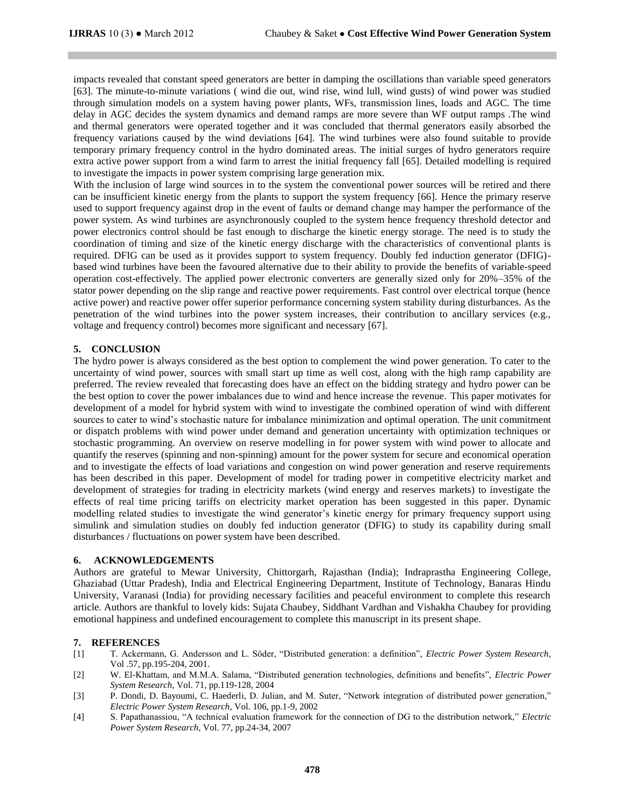impacts revealed that constant speed generators are better in damping the oscillations than variable speed generators [63]. The minute-to-minute variations ( wind die out, wind rise, wind lull, wind gusts) of wind power was studied through simulation models on a system having power plants, WFs, transmission lines, loads and AGC. The time delay in AGC decides the system dynamics and demand ramps are more severe than WF output ramps .The wind and thermal generators were operated together and it was concluded that thermal generators easily absorbed the frequency variations caused by the wind deviations [64]. The wind turbines were also found suitable to provide temporary primary frequency control in the hydro dominated areas. The initial surges of hydro generators require extra active power support from a wind farm to arrest the initial frequency fall [65]. Detailed modelling is required to investigate the impacts in power system comprising large generation mix.

With the inclusion of large wind sources in to the system the conventional power sources will be retired and there can be insufficient kinetic energy from the plants to support the system frequency [66]. Hence the primary reserve used to support frequency against drop in the event of faults or demand change may hamper the performance of the power system. As wind turbines are asynchronously coupled to the system hence frequency threshold detector and power electronics control should be fast enough to discharge the kinetic energy storage. The need is to study the coordination of timing and size of the kinetic energy discharge with the characteristics of conventional plants is required. DFIG can be used as it provides support to system frequency. Doubly fed induction generator (DFIG) based wind turbines have been the favoured alternative due to their ability to provide the benefits of variable-speed operation cost-effectively. The applied power electronic converters are generally sized only for 20%–35% of the stator power depending on the slip range and reactive power requirements. Fast control over electrical torque (hence active power) and reactive power offer superior performance concerning system stability during disturbances. As the penetration of the wind turbines into the power system increases, their contribution to ancillary services (e.g., voltage and frequency control) becomes more significant and necessary [67].

## **5. CONCLUSION**

The hydro power is always considered as the best option to complement the wind power generation. To cater to the uncertainty of wind power, sources with small start up time as well cost, along with the high ramp capability are preferred. The review revealed that forecasting does have an effect on the bidding strategy and hydro power can be the best option to cover the power imbalances due to wind and hence increase the revenue. This paper motivates for development of a model for hybrid system with wind to investigate the combined operation of wind with different sources to cater to wind's stochastic nature for imbalance minimization and optimal operation. The unit commitment or dispatch problems with wind power under demand and generation uncertainty with optimization techniques or stochastic programming. An overview on reserve modelling in for power system with wind power to allocate and quantify the reserves (spinning and non-spinning) amount for the power system for secure and economical operation and to investigate the effects of load variations and congestion on wind power generation and reserve requirements has been described in this paper. Development of model for trading power in competitive electricity market and development of strategies for trading in electricity markets (wind energy and reserves markets) to investigate the effects of real time pricing tariffs on electricity market operation has been suggested in this paper. Dynamic modelling related studies to investigate the wind generator's kinetic energy for primary frequency support using simulink and simulation studies on doubly fed induction generator (DFIG) to study its capability during small disturbances / fluctuations on power system have been described.

## **6. ACKNOWLEDGEMENTS**

Authors are grateful to Mewar University, Chittorgarh, Rajasthan (India); Indraprastha Engineering College, Ghaziabad (Uttar Pradesh), India and Electrical Engineering Department, Institute of Technology, Banaras Hindu University, Varanasi (India) for providing necessary facilities and peaceful environment to complete this research article. Authors are thankful to lovely kids: Sujata Chaubey, Siddhant Vardhan and Vishakha Chaubey for providing emotional happiness and undefined encouragement to complete this manuscript in its present shape.

### **7. REFERENCES**

- [1] T. Ackermann, G. Andersson and L. Söder, "Distributed generation: a definition", *Electric Power System Research*, Vol .57, pp.195-204, 2001.
- [2] W. El-Khattam, and M.M.A. Salama, "Distributed generation technologies, definitions and benefits", *Electric Power System Research*, Vol. 71, pp.119-128, 2004
- [3] P. Dondi, D. Bayoumi, C. Haederli, D. Julian, and M. Suter, "Network integration of distributed power generation," *Electric Power System Research*, Vol. 106, pp.1-9, 2002
- [4] S. Papathanassiou, "A technical evaluation framework for the connection of DG to the distribution network," *Electric Power System Research*, Vol. 77, pp.24-34, 2007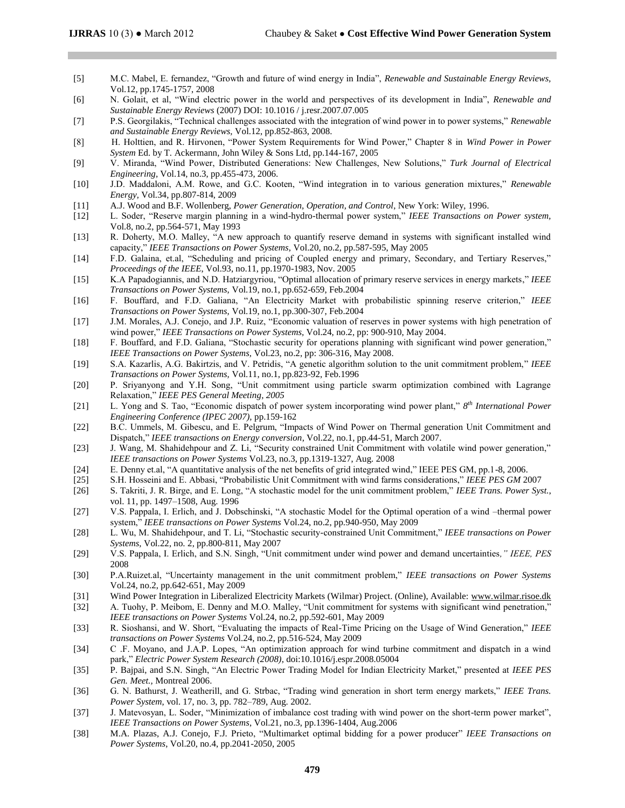- [5] M.C. Mabel, E. fernandez, "Growth and future of wind energy in India", *Renewable and Sustainable Energy Reviews,* Vol.12, pp.1745-1757, 2008
- [6] N. Golait, et al, "Wind electric power in the world and perspectives of its development in India", *Renewable and Sustainable Energy Reviews* (2007) DOI: 10.1016 / j.resr.2007.07.005
- [7] P.S. Georgilakis, "Technical challenges associated with the integration of wind power in to power systems," *Renewable and Sustainable Energy Reviews,* Vol.12, pp.852-863, 2008.
- [8] H. Holttien, and R. Hirvonen, "Power System Requirements for Wind Power," Chapter 8 in *Wind Power in Power System* Ed. by T. Ackermann, John Wiley & Sons Ltd, pp.144-167, 2005
- [9] V. Miranda, "Wind Power, Distributed Generations: New Challenges, New Solutions," *Turk Journal of Electrical Engineering,* Vol.14, no.3, pp.455-473, 2006.
- [10] J.D. Maddaloni, A.M. Rowe, and G.C. Kooten, "Wind integration in to various generation mixtures," *Renewable Energy,* Vol.34, pp.807-814, 2009
- [11] A.J. Wood and B.F. Wollenberg, *Power Generation, Operation, and Control*, New York: Wiley, 1996.
- [12] L. Soder, "Reserve margin planning in a wind-hydro-thermal power system," *IEEE Transactions on Power system,* Vol.8, no.2, pp.564-571, May 1993
- [13] R. Doherty, M.O. Malley, "A new approach to quantify reserve demand in systems with significant installed wind capacity," *IEEE Transactions on Power Systems,* Vol.20, no.2, pp.587-595, May 2005
- [14] F.D. Galaina, et.al, "Scheduling and pricing of Coupled energy and primary, Secondary, and Tertiary Reserves," *Proceedings of the IEEE*, Vol.93, no.11, pp.1970-1983, Nov. 2005
- [15] K.A Papadogiannis, and N.D. Hatziargyriou, "Optimal allocation of primary reserve services in energy markets," *IEEE Transactions on Power Systems,* Vol.19, no.1, pp.652-659, Feb.2004
- [16] F. Bouffard, and F.D. Galiana, "An Electricity Market with probabilistic spinning reserve criterion," *IEEE Transactions on Power Systems,* Vol.19, no.1, pp.300-307, Feb.2004
- [17] J.M. Morales, A.J. Conejo, and J.P. Ruiz, "Economic valuation of reserves in power systems with high penetration of wind power," *IEEE Transactions on Power Systems,* Vol.24, no.2, pp: 900-910, May 2004.
- [18] F. Bouffard, and F.D. Galiana, "Stochastic security for operations planning with significant wind power generation," *IEEE Transactions on Power Systems,* Vol.23, no.2, pp: 306-316, May 2008.
- [19] S.A. Kazarlis, A.G. Bakirtzis, and V. Petridis, "A genetic algorithm solution to the unit commitment problem," *IEEE Transactions on Power Systems,* Vol.11, no.1, pp.823-92, Feb.1996
- [20] P. Sriyanyong and Y.H. Song, "Unit commitment using particle swarm optimization combined with Lagrange Relaxation," *IEEE PES General Meeting, 2005*
- [21] L. Yong and S. Tao, "Economic dispatch of power system incorporating wind power plant," *8 th International Power Engineering Conference (IPEC 2007),* pp.159-162
- [22] B.C. Ummels, M. Gibescu, and E. Pelgrum, "Impacts of Wind Power on Thermal generation Unit Commitment and Dispatch," *IEEE transactions on Energy conversion*, Vol.22, no.1, pp.44-51, March 2007.
- [23] J. Wang, M. Shahidehpour and Z. Li, "Security constrained Unit Commitment with volatile wind power generation," *IEEE transactions on Power Systems* Vol.23, no.3, pp.1319-1327, Aug. 2008
- [24] E. Denny et.al, "A quantitative analysis of the net benefits of grid integrated wind," IEEE PES GM, pp.1-8, 2006.
- [25] S.H. Hosseini and E. Abbasi, "Probabilistic Unit Commitment with wind farms considerations," *IEEE PES GM* 2007
- [26] S. Takriti, J. R. Birge, and E. Long, "A stochastic model for the unit commitment problem," *IEEE Trans. Power Syst.*, vol. 11, pp. 1497–1508, Aug. 1996
- [27] V.S. Pappala, I. Erlich, and J. Dobschinski, "A stochastic Model for the Optimal operation of a wind –thermal power system," *IEEE transactions on Power Systems* Vol.24, no.2, pp.940-950, May 2009
- [28] L. Wu, M. Shahidehpour, and T. Li, "Stochastic security-constrained Unit Commitment," *IEEE transactions on Power Systems,* Vol.22, no. 2, pp.800-811, May 2007
- [29] V.S. Pappala, I. Erlich, and S.N. Singh, "Unit commitment under wind power and demand uncertainties*," IEEE, PES*  2008
- [30] P.A.Ruizet.al, "Uncertainty management in the unit commitment problem," *IEEE transactions on Power Systems* Vol.24, no.2, pp.642-651, May 2009
- [31] Wind Power Integration in Liberalized Electricity Markets (Wilmar) Project. (Online), Available[: www.wilmar.risoe.dk](http://www.wilmar.risoe.dk/)
- [32] A. Tuohy, P. Meibom, E. Denny and M.O. Malley, "Unit commitment for systems with significant wind penetration," *IEEE transactions on Power Systems* Vol.24, no.2, pp.592-601, May 2009
- [33] R. Sioshansi, and W. Short, "Evaluating the impacts of Real-Time Pricing on the Usage of Wind Generation," *IEEE transactions on Power Systems* Vol.24, no.2, pp.516-524, May 2009
- [34] C .F. Moyano, and J.A.P. Lopes, "An optimization approach for wind turbine commitment and dispatch in a wind park," *Electric Power System Research (2008)*, doi:10.1016/j.espr.2008.05004
- [35] P. Bajpai, and S.N. Singh, "An Electric Power Trading Model for Indian Electricity Market," presented at *IEEE PES Gen. Meet.,* Montreal 2006.
- [36] G. N. Bathurst, J. Weatherill, and G. Strbac, "Trading wind generation in short term energy markets," *IEEE Trans. Power System*, vol. 17, no. 3, pp. 782–789, Aug. 2002.
- [37] J. Matevosyan, L. Soder, "Minimization of imbalance cost trading with wind power on the short-term power market", *IEEE Transactions on Power Systems*, Vol.21, no.3, pp.1396-1404, Aug.2006
- [38] M.A. Plazas, A.J. Conejo, F.J. Prieto, "Multimarket optimal bidding for a power producer" *IEEE Transactions on Power Systems*, Vol.20, no.4, pp.2041-2050, 2005